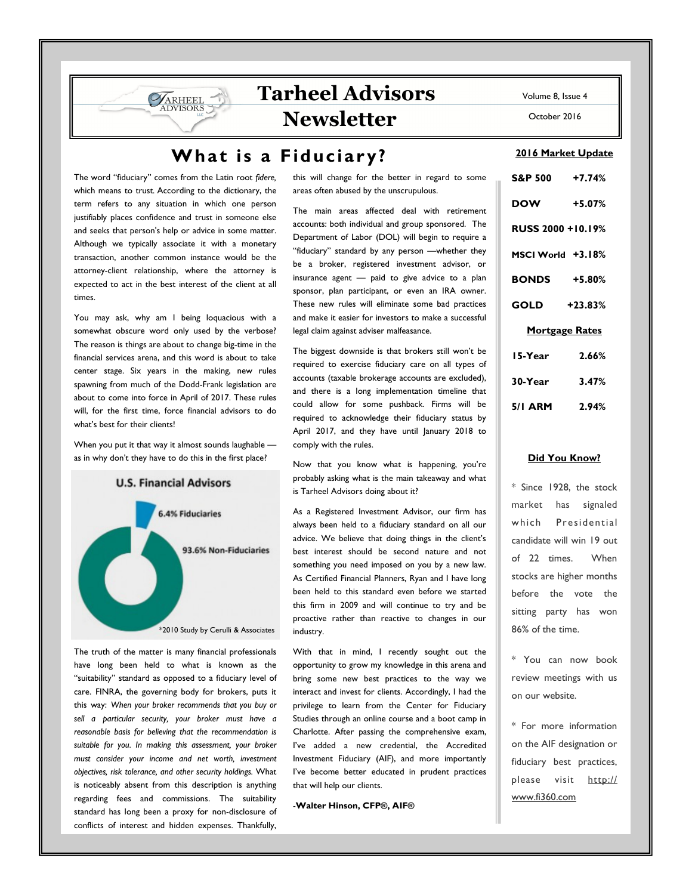# **Tarheel Advisors Newsletter**

### What is a Fiduciary?

The word "fiduciary" comes from the Latin root *fidere,*  which means to trust*.* According to the dictionary, the term refers to any situation in which one person justifiably places confidence and trust in someone else and seeks that person's help or advice in some matter. Although we typically associate it with a monetary transaction, another common instance would be the attorney-client relationship, where the attorney is expected to act in the best interest of the client at all times.

ARHEEL

You may ask, why am I being loquacious with a somewhat obscure word only used by the verbose? The reason is things are about to change big-time in the financial services arena, and this word is about to take center stage. Six years in the making, new rules spawning from much of the Dodd-Frank legislation are about to come into force in April of 2017. These rules will, for the first time, force financial advisors to do what's best for their clients!

When you put it that way it almost sounds laughable as in why don't they have to do this in the first place?



The truth of the matter is many financial professionals have long been held to what is known as the "suitability" standard as opposed to a fiduciary level of care. FINRA, the governing body for brokers, puts it this way: *When your broker recommends that you buy or sell a particular security, your broker must have a reasonable basis for believing that the recommendation is suitable for you. In making this assessment, your broker must consider your income and net worth, investment objectives, risk tolerance, and other security holdings.* What is noticeably absent from this description is anything regarding fees and commissions. The suitability standard has long been a proxy for non-disclosure of conflicts of interest and hidden expenses. Thankfully,

this will change for the better in regard to some areas often abused by the unscrupulous.

The main areas affected deal with retirement accounts: both individual and group sponsored. The Department of Labor (DOL) will begin to require a "fiduciary" standard by any person —whether they be a broker, registered investment advisor, or insurance agent — paid to give advice to a plan sponsor, plan participant, or even an IRA owner. These new rules will eliminate some bad practices and make it easier for investors to make a successful legal claim against adviser malfeasance.

The biggest downside is that brokers still won't be required to exercise fiduciary care on all types of accounts (taxable brokerage accounts are excluded), and there is a long implementation timeline that could allow for some pushback. Firms will be required to acknowledge their fiduciary status by April 2017, and they have until January 2018 to comply with the rules.

Now that you know what is happening, you're probably asking what is the main takeaway and what is Tarheel Advisors doing about it?

As a Registered Investment Advisor, our firm has always been held to a fiduciary standard on all our advice. We believe that doing things in the client's best interest should be second nature and not something you need imposed on you by a new law. As Certified Financial Planners, Ryan and I have long been held to this standard even before we started this firm in 2009 and will continue to try and be proactive rather than reactive to changes in our industry.

With that in mind, I recently sought out the opportunity to grow my knowledge in this arena and bring some new best practices to the way we interact and invest for clients. Accordingly, I had the privilege to learn from the Center for Fiduciary Studies through an online course and a boot camp in Charlotte. After passing the comprehensive exam, I've added a new credential, the Accredited Investment Fiduciary (AIF), and more importantly I've become better educated in prudent practices that will help our clients.

-**Walter Hinson, CFP®, AIF®** 

Volume 8, Issue 4

October 2016

#### **2016 Market Update**

| S&P 500 +7.74%           |          |
|--------------------------|----------|
| <b>DOW</b>               | $+5.07%$ |
| <b>RUSS 2000 +10.19%</b> |          |
| MSCI World +3.18%        |          |
| <b>BONDS</b> +5.80%      |          |
| GOLD +23.83%             |          |
| <b>Mortgage Rates</b>    |          |
| 15-Year                  | 2.66%    |
| 30-Year 3.47%            |          |
| 5/1 ARM 2.94%            |          |

#### **Did You Know?**

\* Since 1928, the stock market has signaled which Presidential candidate will win 19 out of 22 times. When stocks are higher months before the vote the sitting party has won 86% of the time.

\* You can now book review meetings with us on our website.

\* For more information on the AIF designation or fiduciary best practices, please visit http:// www.fi360.com